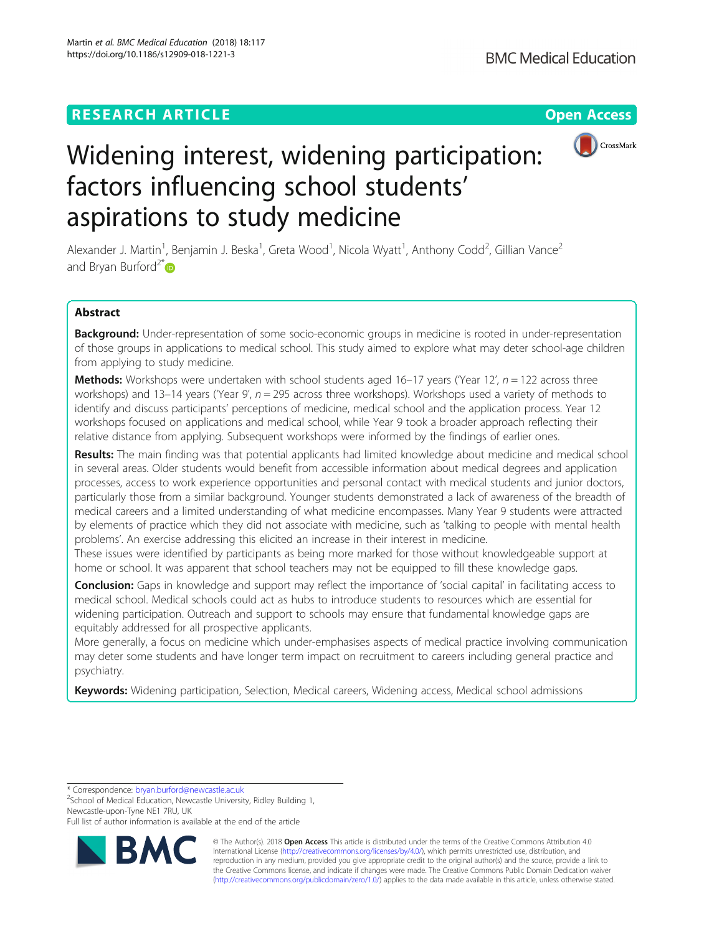## **RESEARCH ARTICLE Example 2018 12:30 THE Open Access**



# Widening interest, widening participation: factors influencing school students' aspirations to study medicine

Alexander J. Martin<sup>1</sup>, Benjamin J. Beska<sup>1</sup>, Greta Wood<sup>1</sup>, Nicola Wyatt<sup>1</sup>, Anthony Codd<sup>2</sup>, Gillian Vance<sup>2</sup> and Bryan Burford<sup>2[\\*](http://orcid.org/0000-0003-4687-7556)</sup> $\bullet$ 

## Abstract

Background: Under-representation of some socio-economic groups in medicine is rooted in under-representation of those groups in applications to medical school. This study aimed to explore what may deter school-age children from applying to study medicine.

**Methods:** Workshops were undertaken with school students aged  $16-17$  years ('Year  $12'$ ,  $n = 122$  across three workshops) and 13–14 years ('Year 9',  $n = 295$  across three workshops). Workshops used a variety of methods to identify and discuss participants' perceptions of medicine, medical school and the application process. Year 12 workshops focused on applications and medical school, while Year 9 took a broader approach reflecting their relative distance from applying. Subsequent workshops were informed by the findings of earlier ones.

Results: The main finding was that potential applicants had limited knowledge about medicine and medical school in several areas. Older students would benefit from accessible information about medical degrees and application processes, access to work experience opportunities and personal contact with medical students and junior doctors, particularly those from a similar background. Younger students demonstrated a lack of awareness of the breadth of medical careers and a limited understanding of what medicine encompasses. Many Year 9 students were attracted by elements of practice which they did not associate with medicine, such as 'talking to people with mental health problems'. An exercise addressing this elicited an increase in their interest in medicine.

These issues were identified by participants as being more marked for those without knowledgeable support at home or school. It was apparent that school teachers may not be equipped to fill these knowledge gaps.

Conclusion: Gaps in knowledge and support may reflect the importance of 'social capital' in facilitating access to medical school. Medical schools could act as hubs to introduce students to resources which are essential for widening participation. Outreach and support to schools may ensure that fundamental knowledge gaps are equitably addressed for all prospective applicants.

More generally, a focus on medicine which under-emphasises aspects of medical practice involving communication may deter some students and have longer term impact on recruitment to careers including general practice and psychiatry.

Keywords: Widening participation, Selection, Medical careers, Widening access, Medical school admissions

\* Correspondence: [bryan.burford@newcastle.ac.uk](mailto:bryan.burford@newcastle.ac.uk) <sup>2</sup>

 $2$ School of Medical Education, Newcastle University, Ridley Building 1, Newcastle-upon-Tyne NE1 7RU, UK

Full list of author information is available at the end of the article



© The Author(s). 2018 Open Access This article is distributed under the terms of the Creative Commons Attribution 4.0 International License [\(http://creativecommons.org/licenses/by/4.0/](http://creativecommons.org/licenses/by/4.0/)), which permits unrestricted use, distribution, and reproduction in any medium, provided you give appropriate credit to the original author(s) and the source, provide a link to the Creative Commons license, and indicate if changes were made. The Creative Commons Public Domain Dedication waiver [\(http://creativecommons.org/publicdomain/zero/1.0/](http://creativecommons.org/publicdomain/zero/1.0/)) applies to the data made available in this article, unless otherwise stated.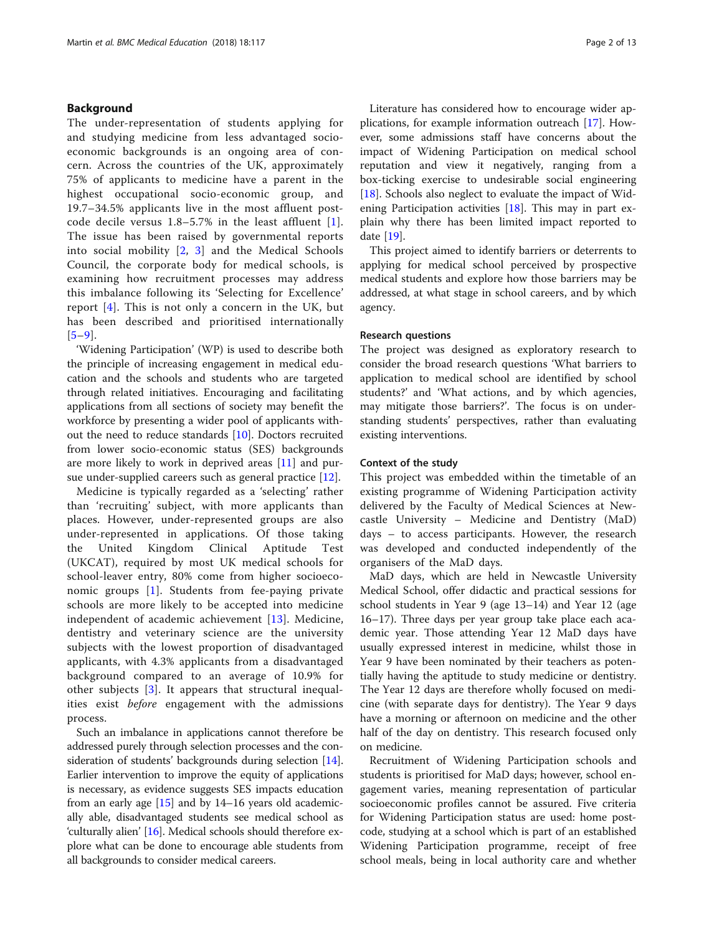## Background

The under-representation of students applying for and studying medicine from less advantaged socioeconomic backgrounds is an ongoing area of concern. Across the countries of the UK, approximately 75% of applicants to medicine have a parent in the highest occupational socio-economic group, and 19.7–34.5% applicants live in the most affluent postcode decile versus  $1.8-5.7\%$  $1.8-5.7\%$  in the least affluent [1]. The issue has been raised by governmental reports into social mobility [\[2](#page-11-0), [3](#page-11-0)] and the Medical Schools Council, the corporate body for medical schools, is examining how recruitment processes may address this imbalance following its 'Selecting for Excellence' report [\[4\]](#page-11-0). This is not only a concern in the UK, but has been described and prioritised internationally  $[5-9]$  $[5-9]$  $[5-9]$  $[5-9]$  $[5-9]$ .

'Widening Participation' (WP) is used to describe both the principle of increasing engagement in medical education and the schools and students who are targeted through related initiatives. Encouraging and facilitating applications from all sections of society may benefit the workforce by presenting a wider pool of applicants without the need to reduce standards [[10](#page-12-0)]. Doctors recruited from lower socio-economic status (SES) backgrounds are more likely to work in deprived areas [\[11](#page-12-0)] and pursue under-supplied careers such as general practice [\[12](#page-12-0)].

Medicine is typically regarded as a 'selecting' rather than 'recruiting' subject, with more applicants than places. However, under-represented groups are also under-represented in applications. Of those taking the United Kingdom Clinical Aptitude Test (UKCAT), required by most UK medical schools for school-leaver entry, 80% come from higher socioeconomic groups  $[1]$  $[1]$ . Students from fee-paying private schools are more likely to be accepted into medicine independent of academic achievement [\[13](#page-12-0)]. Medicine, dentistry and veterinary science are the university subjects with the lowest proportion of disadvantaged applicants, with 4.3% applicants from a disadvantaged background compared to an average of 10.9% for other subjects [[3\]](#page-11-0). It appears that structural inequalities exist before engagement with the admissions process.

Such an imbalance in applications cannot therefore be addressed purely through selection processes and the consideration of students' backgrounds during selection [[14](#page-12-0)]. Earlier intervention to improve the equity of applications is necessary, as evidence suggests SES impacts education from an early age [[15](#page-12-0)] and by 14–16 years old academically able, disadvantaged students see medical school as 'culturally alien' [[16](#page-12-0)]. Medical schools should therefore explore what can be done to encourage able students from all backgrounds to consider medical careers.

Literature has considered how to encourage wider applications, for example information outreach [[17\]](#page-12-0). However, some admissions staff have concerns about the impact of Widening Participation on medical school reputation and view it negatively, ranging from a box-ticking exercise to undesirable social engineering [[18\]](#page-12-0). Schools also neglect to evaluate the impact of Widening Participation activities  $[18]$  $[18]$ . This may in part explain why there has been limited impact reported to date [\[19\]](#page-12-0).

This project aimed to identify barriers or deterrents to applying for medical school perceived by prospective medical students and explore how those barriers may be addressed, at what stage in school careers, and by which agency.

#### Research questions

The project was designed as exploratory research to consider the broad research questions 'What barriers to application to medical school are identified by school students?' and 'What actions, and by which agencies, may mitigate those barriers?'. The focus is on understanding students' perspectives, rather than evaluating existing interventions.

#### Context of the study

This project was embedded within the timetable of an existing programme of Widening Participation activity delivered by the Faculty of Medical Sciences at Newcastle University – Medicine and Dentistry (MaD) days – to access participants. However, the research was developed and conducted independently of the organisers of the MaD days.

MaD days, which are held in Newcastle University Medical School, offer didactic and practical sessions for school students in Year 9 (age 13–14) and Year 12 (age 16–17). Three days per year group take place each academic year. Those attending Year 12 MaD days have usually expressed interest in medicine, whilst those in Year 9 have been nominated by their teachers as potentially having the aptitude to study medicine or dentistry. The Year 12 days are therefore wholly focused on medicine (with separate days for dentistry). The Year 9 days have a morning or afternoon on medicine and the other half of the day on dentistry. This research focused only on medicine.

Recruitment of Widening Participation schools and students is prioritised for MaD days; however, school engagement varies, meaning representation of particular socioeconomic profiles cannot be assured. Five criteria for Widening Participation status are used: home postcode, studying at a school which is part of an established Widening Participation programme, receipt of free school meals, being in local authority care and whether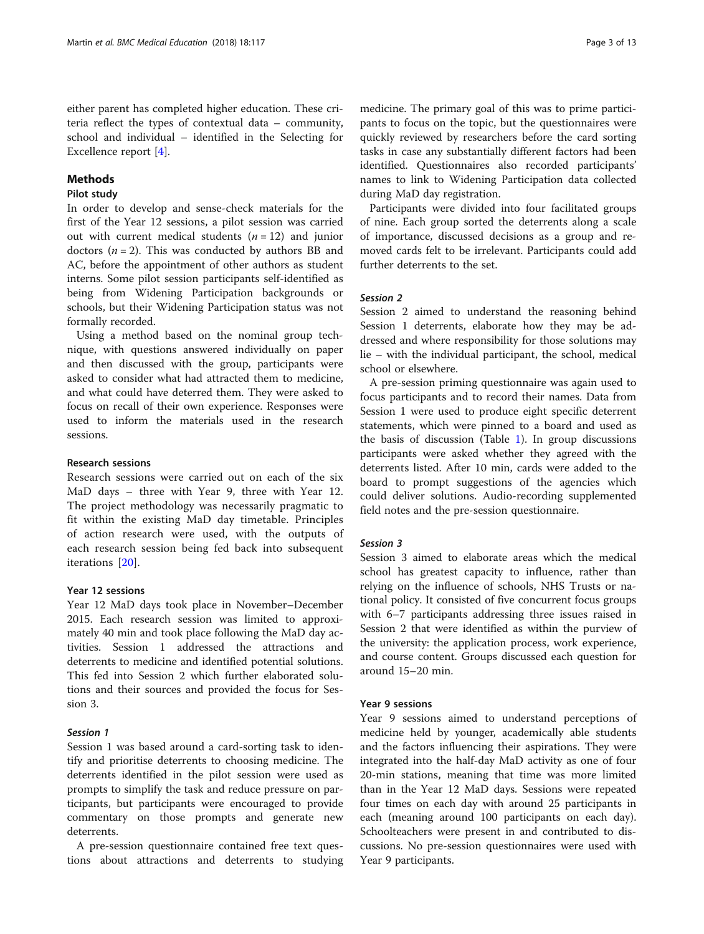either parent has completed higher education. These criteria reflect the types of contextual data – community, school and individual – identified in the Selecting for Excellence report [[4\]](#page-11-0).

## Methods

## Pilot study

In order to develop and sense-check materials for the first of the Year 12 sessions, a pilot session was carried out with current medical students  $(n = 12)$  and junior doctors  $(n = 2)$ . This was conducted by authors BB and AC, before the appointment of other authors as student interns. Some pilot session participants self-identified as being from Widening Participation backgrounds or schools, but their Widening Participation status was not formally recorded.

Using a method based on the nominal group technique, with questions answered individually on paper and then discussed with the group, participants were asked to consider what had attracted them to medicine, and what could have deterred them. They were asked to focus on recall of their own experience. Responses were used to inform the materials used in the research sessions.

## Research sessions

Research sessions were carried out on each of the six MaD days – three with Year 9, three with Year 12. The project methodology was necessarily pragmatic to fit within the existing MaD day timetable. Principles of action research were used, with the outputs of each research session being fed back into subsequent iterations [[20\]](#page-12-0).

#### Year 12 sessions

Year 12 MaD days took place in November–December 2015. Each research session was limited to approximately 40 min and took place following the MaD day activities. Session 1 addressed the attractions and deterrents to medicine and identified potential solutions. This fed into Session 2 which further elaborated solutions and their sources and provided the focus for Session 3.

## Session 1

Session 1 was based around a card-sorting task to identify and prioritise deterrents to choosing medicine. The deterrents identified in the pilot session were used as prompts to simplify the task and reduce pressure on participants, but participants were encouraged to provide commentary on those prompts and generate new deterrents.

A pre-session questionnaire contained free text questions about attractions and deterrents to studying

medicine. The primary goal of this was to prime participants to focus on the topic, but the questionnaires were quickly reviewed by researchers before the card sorting tasks in case any substantially different factors had been identified. Questionnaires also recorded participants' names to link to Widening Participation data collected during MaD day registration.

Participants were divided into four facilitated groups of nine. Each group sorted the deterrents along a scale of importance, discussed decisions as a group and removed cards felt to be irrelevant. Participants could add further deterrents to the set.

## Session 2

Session 2 aimed to understand the reasoning behind Session 1 deterrents, elaborate how they may be addressed and where responsibility for those solutions may lie – with the individual participant, the school, medical school or elsewhere.

A pre-session priming questionnaire was again used to focus participants and to record their names. Data from Session 1 were used to produce eight specific deterrent statements, which were pinned to a board and used as the basis of discussion (Table [1\)](#page-3-0). In group discussions participants were asked whether they agreed with the deterrents listed. After 10 min, cards were added to the board to prompt suggestions of the agencies which could deliver solutions. Audio-recording supplemented field notes and the pre-session questionnaire.

## Session 3

Session 3 aimed to elaborate areas which the medical school has greatest capacity to influence, rather than relying on the influence of schools, NHS Trusts or national policy. It consisted of five concurrent focus groups with 6–7 participants addressing three issues raised in Session 2 that were identified as within the purview of the university: the application process, work experience, and course content. Groups discussed each question for around 15–20 min.

#### Year 9 sessions

Year 9 sessions aimed to understand perceptions of medicine held by younger, academically able students and the factors influencing their aspirations. They were integrated into the half-day MaD activity as one of four 20-min stations, meaning that time was more limited than in the Year 12 MaD days. Sessions were repeated four times on each day with around 25 participants in each (meaning around 100 participants on each day). Schoolteachers were present in and contributed to discussions. No pre-session questionnaires were used with Year 9 participants.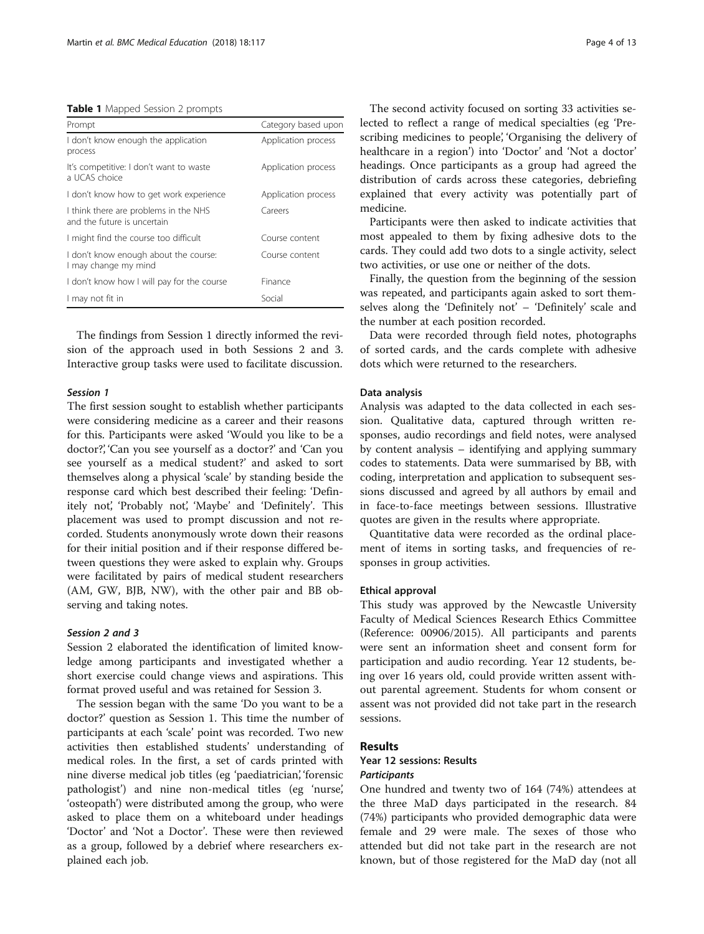<span id="page-3-0"></span>Table 1 Mapped Session 2 prompts

| Prompt                                                               | Category based upon |
|----------------------------------------------------------------------|---------------------|
| I don't know enough the application<br>process                       | Application process |
| It's competitive: I don't want to waste<br>a UCAS choice             | Application process |
| I don't know how to get work experience                              | Application process |
| I think there are problems in the NHS<br>and the future is uncertain | Careers             |
| I might find the course too difficult                                | Course content      |
| I don't know enough about the course:<br>I may change my mind        | Course content      |
| I don't know how I will pay for the course                           | Finance             |
| I may not fit in                                                     | Social              |

The findings from Session 1 directly informed the revision of the approach used in both Sessions 2 and 3. Interactive group tasks were used to facilitate discussion.

## Session 1

The first session sought to establish whether participants were considering medicine as a career and their reasons for this. Participants were asked 'Would you like to be a doctor?', 'Can you see yourself as a doctor?' and 'Can you see yourself as a medical student?' and asked to sort themselves along a physical 'scale' by standing beside the response card which best described their feeling: 'Definitely not', 'Probably not', 'Maybe' and 'Definitely'. This placement was used to prompt discussion and not recorded. Students anonymously wrote down their reasons for their initial position and if their response differed between questions they were asked to explain why. Groups were facilitated by pairs of medical student researchers (AM, GW, BJB, NW), with the other pair and BB observing and taking notes.

#### Session 2 and 3

Session 2 elaborated the identification of limited knowledge among participants and investigated whether a short exercise could change views and aspirations. This format proved useful and was retained for Session 3.

The session began with the same 'Do you want to be a doctor?' question as Session 1. This time the number of participants at each 'scale' point was recorded. Two new activities then established students' understanding of medical roles. In the first, a set of cards printed with nine diverse medical job titles (eg 'paediatrician', 'forensic pathologist') and nine non-medical titles (eg 'nurse', 'osteopath') were distributed among the group, who were asked to place them on a whiteboard under headings 'Doctor' and 'Not a Doctor'. These were then reviewed as a group, followed by a debrief where researchers explained each job.

The second activity focused on sorting 33 activities selected to reflect a range of medical specialties (eg 'Prescribing medicines to people', 'Organising the delivery of healthcare in a region') into 'Doctor' and 'Not a doctor' headings. Once participants as a group had agreed the distribution of cards across these categories, debriefing explained that every activity was potentially part of medicine.

Participants were then asked to indicate activities that most appealed to them by fixing adhesive dots to the cards. They could add two dots to a single activity, select two activities, or use one or neither of the dots.

Finally, the question from the beginning of the session was repeated, and participants again asked to sort themselves along the 'Definitely not'–'Definitely' scale and the number at each position recorded.

Data were recorded through field notes, photographs of sorted cards, and the cards complete with adhesive dots which were returned to the researchers.

## Data analysis

Analysis was adapted to the data collected in each session. Qualitative data, captured through written responses, audio recordings and field notes, were analysed by content analysis – identifying and applying summary codes to statements. Data were summarised by BB, with coding, interpretation and application to subsequent sessions discussed and agreed by all authors by email and in face-to-face meetings between sessions. Illustrative quotes are given in the results where appropriate.

Quantitative data were recorded as the ordinal placement of items in sorting tasks, and frequencies of responses in group activities.

#### Ethical approval

This study was approved by the Newcastle University Faculty of Medical Sciences Research Ethics Committee (Reference: 00906/2015). All participants and parents were sent an information sheet and consent form for participation and audio recording. Year 12 students, being over 16 years old, could provide written assent without parental agreement. Students for whom consent or assent was not provided did not take part in the research sessions.

## Results

## Year 12 sessions: Results **Participants**

One hundred and twenty two of 164 (74%) attendees at the three MaD days participated in the research. 84 (74%) participants who provided demographic data were female and 29 were male. The sexes of those who attended but did not take part in the research are not known, but of those registered for the MaD day (not all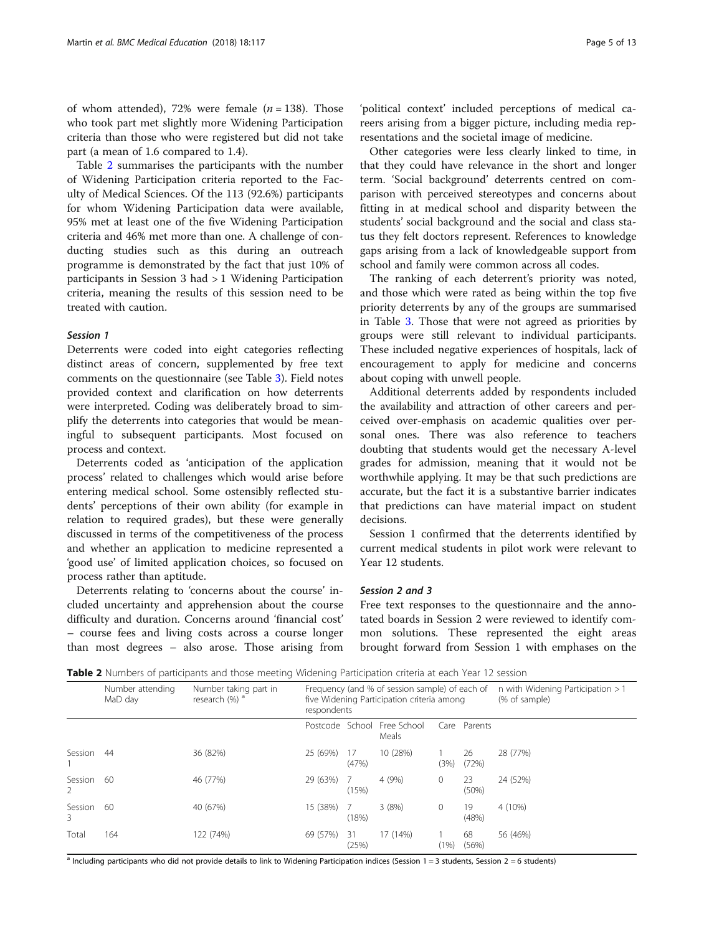of whom attended), 72% were female  $(n = 138)$ . Those who took part met slightly more Widening Participation criteria than those who were registered but did not take part (a mean of 1.6 compared to 1.4).

Table 2 summarises the participants with the number of Widening Participation criteria reported to the Faculty of Medical Sciences. Of the 113 (92.6%) participants for whom Widening Participation data were available, 95% met at least one of the five Widening Participation criteria and 46% met more than one. A challenge of conducting studies such as this during an outreach programme is demonstrated by the fact that just 10% of participants in Session 3 had > 1 Widening Participation criteria, meaning the results of this session need to be treated with caution.

#### Session 1

Deterrents were coded into eight categories reflecting distinct areas of concern, supplemented by free text comments on the questionnaire (see Table [3\)](#page-5-0). Field notes provided context and clarification on how deterrents were interpreted. Coding was deliberately broad to simplify the deterrents into categories that would be meaningful to subsequent participants. Most focused on process and context.

Deterrents coded as 'anticipation of the application process' related to challenges which would arise before entering medical school. Some ostensibly reflected students' perceptions of their own ability (for example in relation to required grades), but these were generally discussed in terms of the competitiveness of the process and whether an application to medicine represented a 'good use' of limited application choices, so focused on process rather than aptitude.

Deterrents relating to 'concerns about the course' included uncertainty and apprehension about the course difficulty and duration. Concerns around 'financial cost' – course fees and living costs across a course longer than most degrees – also arose. Those arising from

Other categories were less clearly linked to time, in that they could have relevance in the short and longer term. 'Social background' deterrents centred on comparison with perceived stereotypes and concerns about fitting in at medical school and disparity between the students' social background and the social and class status they felt doctors represent. References to knowledge gaps arising from a lack of knowledgeable support from school and family were common across all codes.

The ranking of each deterrent's priority was noted, and those which were rated as being within the top five priority deterrents by any of the groups are summarised in Table [3.](#page-5-0) Those that were not agreed as priorities by groups were still relevant to individual participants. These included negative experiences of hospitals, lack of encouragement to apply for medicine and concerns about coping with unwell people.

Additional deterrents added by respondents included the availability and attraction of other careers and perceived over-emphasis on academic qualities over personal ones. There was also reference to teachers doubting that students would get the necessary A-level grades for admission, meaning that it would not be worthwhile applying. It may be that such predictions are accurate, but the fact it is a substantive barrier indicates that predictions can have material impact on student decisions.

Session 1 confirmed that the deterrents identified by current medical students in pilot work were relevant to Year 12 students.

#### Session 2 and 3

Free text responses to the questionnaire and the annotated boards in Session 2 were reviewed to identify common solutions. These represented the eight areas brought forward from Session 1 with emphases on the

**Table 2** Numbers of participants and those meeting Widening Participation criteria at each Year 12 session

|              | Number attending<br>MaD day | Number taking part in<br>research (%) <sup>a</sup> | Frequency (and % of session sample) of each of<br>five Widening Participation criteria among<br>respondents |             |                                      | n with Widening Participation $>1$<br>(% of sample) |             |          |
|--------------|-----------------------------|----------------------------------------------------|-------------------------------------------------------------------------------------------------------------|-------------|--------------------------------------|-----------------------------------------------------|-------------|----------|
|              |                             |                                                    |                                                                                                             |             | Postcode School Free School<br>Meals | Care                                                | Parents     |          |
| Session      | 44                          | 36 (82%)                                           | 25 (69%)                                                                                                    | 17<br>(47%) | 10 (28%)                             | (3%)                                                | 26<br>(72%) | 28 (77%) |
| Session<br>2 | 60                          | 46 (77%)                                           | 29 (63%)                                                                                                    | (15%)       | 4 (9%)                               | $\Omega$                                            | 23<br>(50%) | 24 (52%) |
| Session<br>3 | 60                          | 40 (67%)                                           | 15 (38%)                                                                                                    | (18%)       | 3(8%)                                | $\Omega$                                            | 19<br>(48%) | 4 (10%)  |
| Total        | 164                         | 122 (74%)                                          | 69 (57%)                                                                                                    | 31<br>(25%) | 17 (14%)                             | (1%)                                                | 68<br>(56%) | 56 (46%) |

 $a$  Including participants who did not provide details to link to Widening Participation indices (Session 1 = 3 students, Session 2 = 6 students)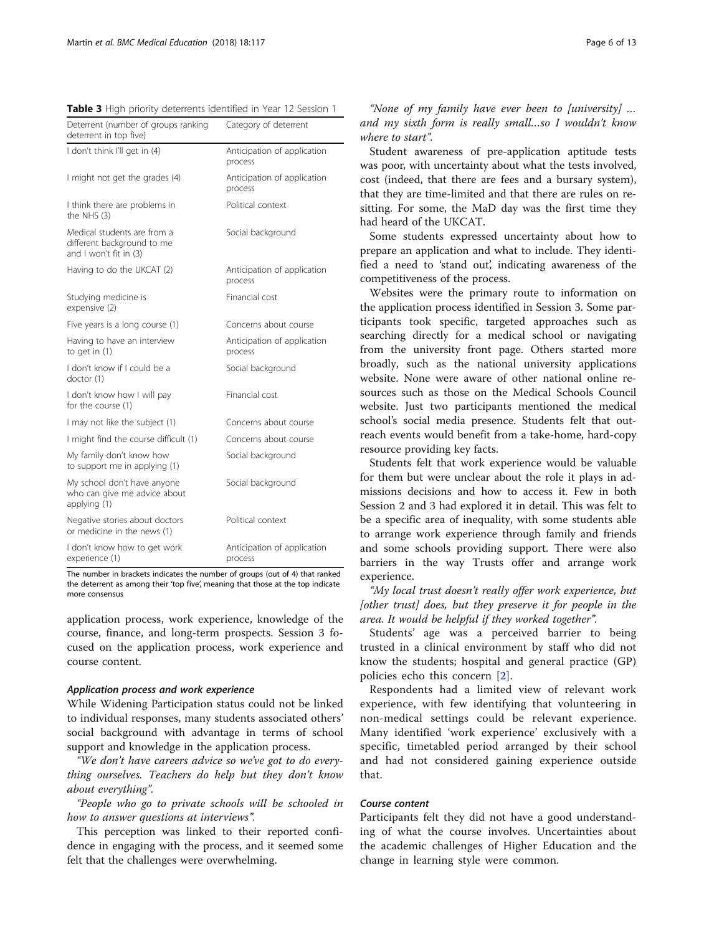<span id="page-5-0"></span>Table 3 High priority deterrents identified in Year 12 Session 1

| Deterrent (number of groups ranking<br>deterrent in top five)                       | Category of deterrent                  |
|-------------------------------------------------------------------------------------|----------------------------------------|
| I don't think I'll get in (4)                                                       | Anticipation of application<br>process |
| I might not get the grades (4)                                                      | Anticipation of application<br>process |
| I think there are problems in<br>the NHS (3)                                        | Political context                      |
| Medical students are from a<br>different background to me<br>and I won't fit in (3) | Social background                      |
| Having to do the UKCAT (2)                                                          | Anticipation of application<br>process |
| Studying medicine is<br>expensive (2)                                               | Financial cost                         |
| Five years is a long course (1)                                                     | Concerns about course                  |
| Having to have an interview<br>to get in $(1)$                                      | Anticipation of application<br>process |
| I don't know if I could be a<br>doctor (1)                                          | Social background                      |
| I don't know how I will pay<br>for the course (1)                                   | Financial cost                         |
| I may not like the subject (1)                                                      | Concerns about course                  |
| I might find the course difficult (1)                                               | Concerns about course                  |
| My family don't know how<br>to support me in applying (1)                           | Social background                      |
| My school don't have anyone<br>who can give me advice about<br>applying (1)         | Social background                      |
| Negative stories about doctors<br>or medicine in the news (1)                       | Political context                      |
| I don't know how to get work<br>experience (1)                                      | Anticipation of application<br>process |

The number in brackets indicates the number of groups (out of 4) that ranked the deterrent as among their 'top five', meaning that those at the top indicate more consensus

application process, work experience, knowledge of the course, finance, and long-term prospects. Session 3 focused on the application process, work experience and course content.

#### Application process and work experience

While Widening Participation status could not be linked to individual responses, many students associated others' social background with advantage in terms of school support and knowledge in the application process.

"We don't have careers advice so we've got to do everything ourselves. Teachers do help but they don't know about everything".

"People who go to private schools will be schooled in how to answer questions at interviews".

This perception was linked to their reported confidence in engaging with the process, and it seemed some felt that the challenges were overwhelming.

"None of my family have ever been to [university] … and my sixth form is really small…so I wouldn't know where to start".

Student awareness of pre-application aptitude tests was poor, with uncertainty about what the tests involved, cost (indeed, that there are fees and a bursary system), that they are time-limited and that there are rules on resitting. For some, the MaD day was the first time they had heard of the UKCAT.

Some students expressed uncertainty about how to prepare an application and what to include. They identified a need to 'stand out', indicating awareness of the competitiveness of the process.

Websites were the primary route to information on the application process identified in Session 3. Some participants took specific, targeted approaches such as searching directly for a medical school or navigating from the university front page. Others started more broadly, such as the national university applications website. None were aware of other national online resources such as those on the Medical Schools Council website. Just two participants mentioned the medical school's social media presence. Students felt that outreach events would benefit from a take-home, hard-copy resource providing key facts.

Students felt that work experience would be valuable for them but were unclear about the role it plays in admissions decisions and how to access it. Few in both Session 2 and 3 had explored it in detail. This was felt to be a specific area of inequality, with some students able to arrange work experience through family and friends and some schools providing support. There were also barriers in the way Trusts offer and arrange work experience.

"My local trust doesn't really offer work experience, but [other trust] does, but they preserve it for people in the area. It would be helpful if they worked together".

Students' age was a perceived barrier to being trusted in a clinical environment by staff who did not know the students; hospital and general practice (GP) policies echo this concern [\[2](#page-11-0)].

Respondents had a limited view of relevant work experience, with few identifying that volunteering in non-medical settings could be relevant experience. Many identified 'work experience' exclusively with a specific, timetabled period arranged by their school and had not considered gaining experience outside that.

## Course content

Participants felt they did not have a good understanding of what the course involves. Uncertainties about the academic challenges of Higher Education and the change in learning style were common.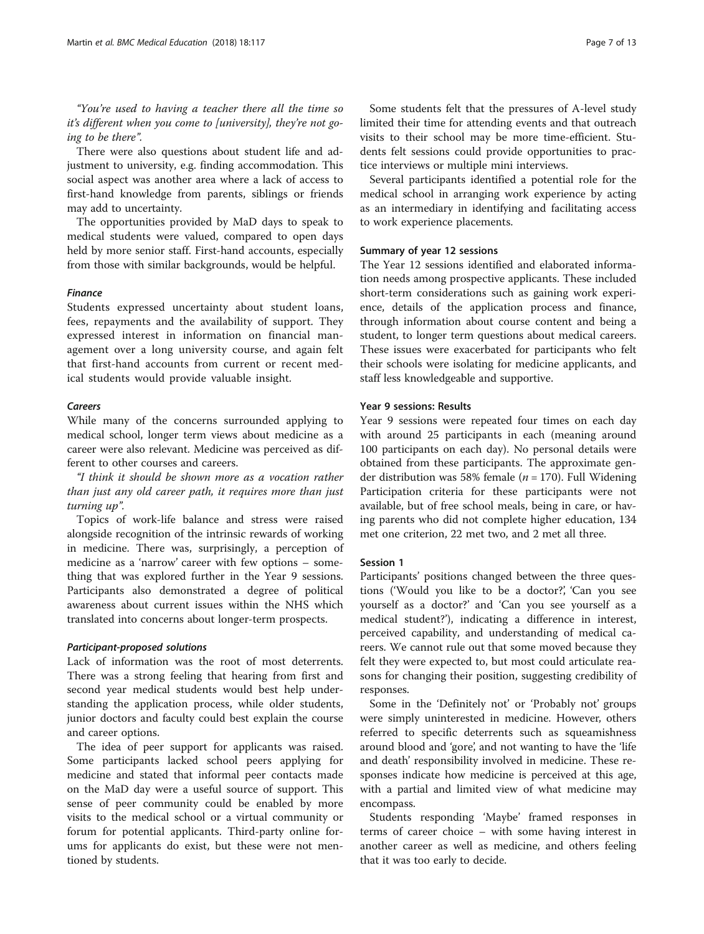"You're used to having a teacher there all the time so it's different when you come to [university], they're not going to be there".

There were also questions about student life and adjustment to university, e.g. finding accommodation. This social aspect was another area where a lack of access to first-hand knowledge from parents, siblings or friends may add to uncertainty.

The opportunities provided by MaD days to speak to medical students were valued, compared to open days held by more senior staff. First-hand accounts, especially from those with similar backgrounds, would be helpful.

#### Finance

Students expressed uncertainty about student loans, fees, repayments and the availability of support. They expressed interest in information on financial management over a long university course, and again felt that first-hand accounts from current or recent medical students would provide valuable insight.

#### **Careers**

While many of the concerns surrounded applying to medical school, longer term views about medicine as a career were also relevant. Medicine was perceived as different to other courses and careers.

"I think it should be shown more as a vocation rather than just any old career path, it requires more than just turning up".

Topics of work-life balance and stress were raised alongside recognition of the intrinsic rewards of working in medicine. There was, surprisingly, a perception of medicine as a 'narrow' career with few options – something that was explored further in the Year 9 sessions. Participants also demonstrated a degree of political awareness about current issues within the NHS which translated into concerns about longer-term prospects.

#### Participant-proposed solutions

Lack of information was the root of most deterrents. There was a strong feeling that hearing from first and second year medical students would best help understanding the application process, while older students, junior doctors and faculty could best explain the course and career options.

The idea of peer support for applicants was raised. Some participants lacked school peers applying for medicine and stated that informal peer contacts made on the MaD day were a useful source of support. This sense of peer community could be enabled by more visits to the medical school or a virtual community or forum for potential applicants. Third-party online forums for applicants do exist, but these were not mentioned by students.

Some students felt that the pressures of A-level study limited their time for attending events and that outreach visits to their school may be more time-efficient. Students felt sessions could provide opportunities to practice interviews or multiple mini interviews.

Several participants identified a potential role for the medical school in arranging work experience by acting as an intermediary in identifying and facilitating access to work experience placements.

## Summary of year 12 sessions

The Year 12 sessions identified and elaborated information needs among prospective applicants. These included short-term considerations such as gaining work experience, details of the application process and finance, through information about course content and being a student, to longer term questions about medical careers. These issues were exacerbated for participants who felt their schools were isolating for medicine applicants, and staff less knowledgeable and supportive.

## Year 9 sessions: Results

Year 9 sessions were repeated four times on each day with around 25 participants in each (meaning around 100 participants on each day). No personal details were obtained from these participants. The approximate gender distribution was 58% female ( $n = 170$ ). Full Widening Participation criteria for these participants were not available, but of free school meals, being in care, or having parents who did not complete higher education, 134 met one criterion, 22 met two, and 2 met all three.

#### Session 1

Participants' positions changed between the three questions ('Would you like to be a doctor?', 'Can you see yourself as a doctor?' and 'Can you see yourself as a medical student?'), indicating a difference in interest, perceived capability, and understanding of medical careers. We cannot rule out that some moved because they felt they were expected to, but most could articulate reasons for changing their position, suggesting credibility of responses.

Some in the 'Definitely not' or 'Probably not' groups were simply uninterested in medicine. However, others referred to specific deterrents such as squeamishness around blood and 'gore', and not wanting to have the 'life and death' responsibility involved in medicine. These responses indicate how medicine is perceived at this age, with a partial and limited view of what medicine may encompass.

Students responding 'Maybe' framed responses in terms of career choice – with some having interest in another career as well as medicine, and others feeling that it was too early to decide.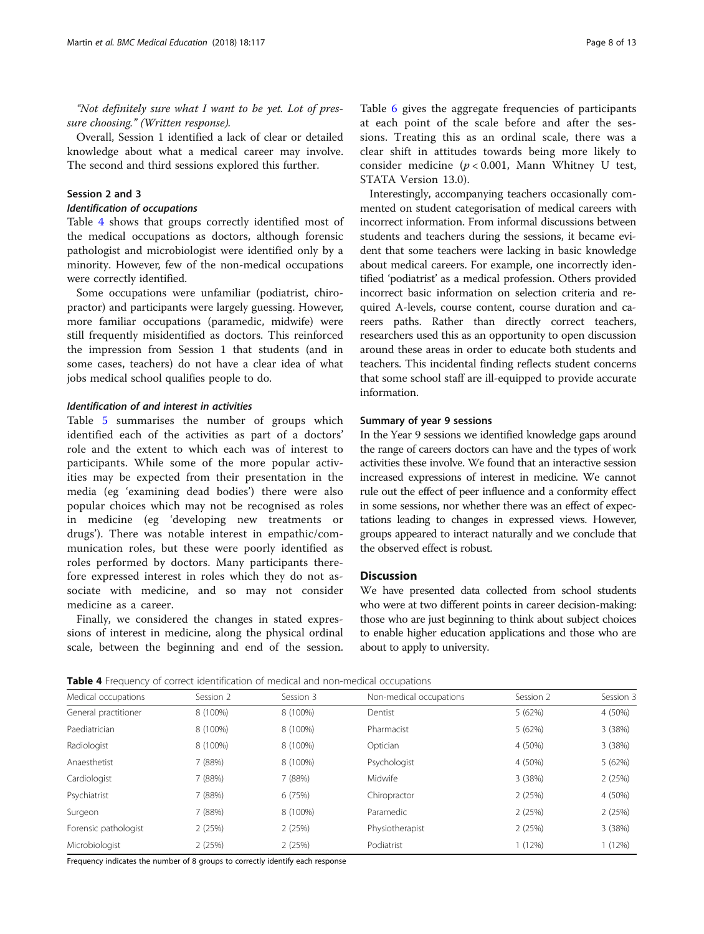"Not definitely sure what I want to be yet. Lot of pressure choosing." (Written response).

Overall, Session 1 identified a lack of clear or detailed knowledge about what a medical career may involve. The second and third sessions explored this further.

## Session 2 and 3

#### Identification of occupations

Table 4 shows that groups correctly identified most of the medical occupations as doctors, although forensic pathologist and microbiologist were identified only by a minority. However, few of the non-medical occupations were correctly identified.

Some occupations were unfamiliar (podiatrist, chiropractor) and participants were largely guessing. However, more familiar occupations (paramedic, midwife) were still frequently misidentified as doctors. This reinforced the impression from Session 1 that students (and in some cases, teachers) do not have a clear idea of what jobs medical school qualifies people to do.

## Identification of and interest in activities

Table [5](#page-8-0) summarises the number of groups which identified each of the activities as part of a doctors' role and the extent to which each was of interest to participants. While some of the more popular activities may be expected from their presentation in the media (eg 'examining dead bodies') there were also popular choices which may not be recognised as roles in medicine (eg 'developing new treatments or drugs'). There was notable interest in empathic/communication roles, but these were poorly identified as roles performed by doctors. Many participants therefore expressed interest in roles which they do not associate with medicine, and so may not consider medicine as a career.

Finally, we considered the changes in stated expressions of interest in medicine, along the physical ordinal scale, between the beginning and end of the session.

Table [6](#page-9-0) gives the aggregate frequencies of participants at each point of the scale before and after the sessions. Treating this as an ordinal scale, there was a clear shift in attitudes towards being more likely to consider medicine  $(p < 0.001$ , Mann Whitney U test, STATA Version 13.0).

Interestingly, accompanying teachers occasionally commented on student categorisation of medical careers with incorrect information. From informal discussions between students and teachers during the sessions, it became evident that some teachers were lacking in basic knowledge about medical careers. For example, one incorrectly identified 'podiatrist' as a medical profession. Others provided incorrect basic information on selection criteria and required A-levels, course content, course duration and careers paths. Rather than directly correct teachers, researchers used this as an opportunity to open discussion around these areas in order to educate both students and teachers. This incidental finding reflects student concerns that some school staff are ill-equipped to provide accurate information.

## Summary of year 9 sessions

In the Year 9 sessions we identified knowledge gaps around the range of careers doctors can have and the types of work activities these involve. We found that an interactive session increased expressions of interest in medicine. We cannot rule out the effect of peer influence and a conformity effect in some sessions, nor whether there was an effect of expectations leading to changes in expressed views. However, groups appeared to interact naturally and we conclude that the observed effect is robust.

### **Discussion**

We have presented data collected from school students who were at two different points in career decision-making: those who are just beginning to think about subject choices to enable higher education applications and those who are about to apply to university.

**Table 4** Frequency of correct identification of medical and non-medical occupations

| Medical occupations  | Session 2 | Session 3 | Non-medical occupations | Session 2 | Session 3 |
|----------------------|-----------|-----------|-------------------------|-----------|-----------|
| General practitioner | 8 (100%)  | 8 (100%)  | Dentist                 | 5(62%)    | 4 (50%)   |
| Paediatrician        | 8 (100%)  | 8 (100%)  | Pharmacist              | 5 (62%)   | 3 (38%)   |
| Radiologist          | 8 (100%)  | 8 (100%)  | Optician                | 4 (50%)   | 3(38%)    |
| Anaesthetist         | 7 (88%)   | 8 (100%)  | Psychologist            | 4 (50%)   | 5 (62%)   |
| Cardiologist         | 7 (88%)   | 7 (88%)   | Midwife                 | 3 (38%)   | 2(25%)    |
| Psychiatrist         | 7 (88%)   | 6 (75%)   | Chiropractor            | 2(25%)    | 4 (50%)   |
| Surgeon              | 7 (88%)   | 8 (100%)  | Paramedic               | 2(25%)    | 2(25%)    |
| Forensic pathologist | 2(25%)    | 2(25%)    | Physiotherapist         | 2(25%)    | 3 (38%)   |
| Microbiologist       | 2(25%)    | 2(25%)    | Podiatrist              | 1(12%)    | 1(12%)    |

Frequency indicates the number of 8 groups to correctly identify each response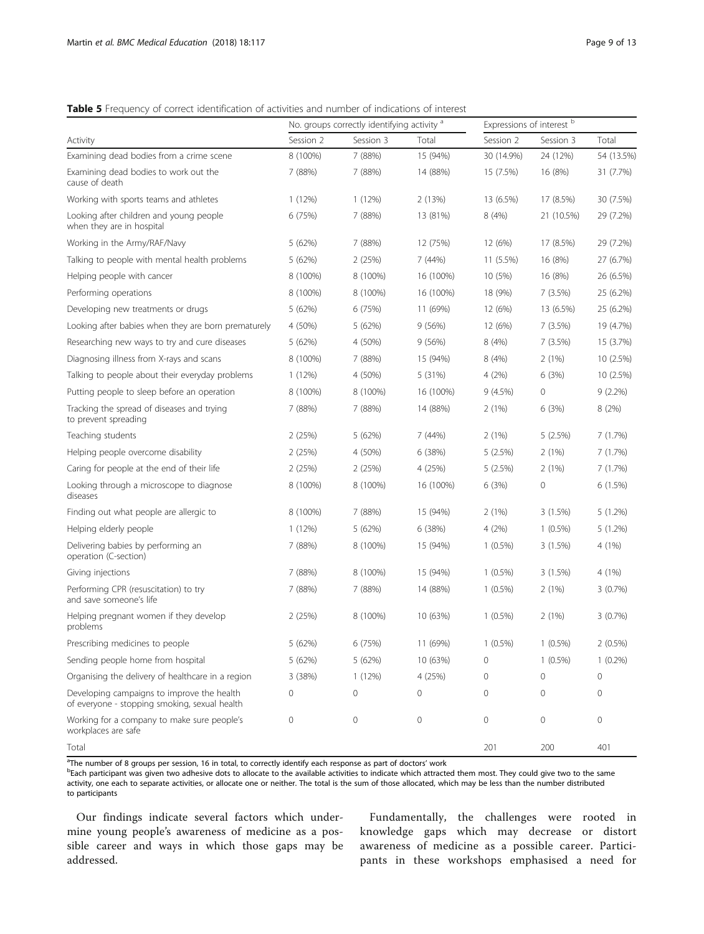## <span id="page-8-0"></span>Table 5 Frequency of correct identification of activities and number of indications of interest

|                                                                                             |           | No. groups correctly identifying activity <sup>a</sup> | Expressions of interest b |            |              |            |
|---------------------------------------------------------------------------------------------|-----------|--------------------------------------------------------|---------------------------|------------|--------------|------------|
| Activity                                                                                    | Session 2 | Session 3                                              | Total                     | Session 2  | Session 3    | Total      |
| Examining dead bodies from a crime scene                                                    | 8 (100%)  | 7 (88%)                                                | 15 (94%)                  | 30 (14.9%) | 24 (12%)     | 54 (13.5%) |
| Examining dead bodies to work out the<br>cause of death                                     | 7 (88%)   | 7 (88%)                                                | 14 (88%)                  | 15 (7.5%)  | 16 (8%)      | 31 (7.7%)  |
| Working with sports teams and athletes                                                      | 1(12%)    | 1(12%)                                                 | 2 (13%)                   | 13 (6.5%)  | 17 (8.5%)    | 30 (7.5%)  |
| Looking after children and young people<br>when they are in hospital                        | 6 (75%)   | 7 (88%)                                                | 13 (81%)                  | 8 (4%)     | 21 (10.5%)   | 29 (7.2%)  |
| Working in the Army/RAF/Navy                                                                | 5 (62%)   | 7 (88%)                                                | 12 (75%)                  | 12 (6%)    | 17 (8.5%)    | 29 (7.2%)  |
| Talking to people with mental health problems                                               | 5 (62%)   | 2(25%)                                                 | 7 (44%)                   | 11 (5.5%)  | 16 (8%)      | 27 (6.7%)  |
| Helping people with cancer                                                                  | 8 (100%)  | 8 (100%)                                               | 16 (100%)                 | 10 (5%)    | 16 (8%)      | 26 (6.5%)  |
| Performing operations                                                                       | 8 (100%)  | 8 (100%)                                               | 16 (100%)                 | 18 (9%)    | 7(3.5%)      | 25 (6.2%)  |
| Developing new treatments or drugs                                                          | 5 (62%)   | 6 (75%)                                                | 11 (69%)                  | 12 (6%)    | 13 (6.5%)    | 25 (6.2%)  |
| Looking after babies when they are born prematurely                                         | 4 (50%)   | 5(62%)                                                 | 9 (56%)                   | 12 (6%)    | 7(3.5%)      | 19 (4.7%)  |
| Researching new ways to try and cure diseases                                               | 5 (62%)   | 4 (50%)                                                | 9(56%)                    | 8(4%)      | 7(3.5%)      | 15 (3.7%)  |
| Diagnosing illness from X-rays and scans                                                    | 8 (100%)  | 7 (88%)                                                | 15 (94%)                  | 8 (4%)     | 2(1%)        | 10 (2.5%)  |
| Talking to people about their everyday problems                                             | 1(12%)    | 4 (50%)                                                | 5 (31%)                   | 4(2%)      | 6(3%)        | 10 (2.5%)  |
| Putting people to sleep before an operation                                                 | 8 (100%)  | 8 (100%)                                               | 16 (100%)                 | 9(4.5%)    | $\mathbf 0$  | $9(2.2\%)$ |
| Tracking the spread of diseases and trying<br>to prevent spreading                          | 7 (88%)   | 7 (88%)                                                | 14 (88%)                  | 2(1%)      | 6(3%)        | 8(2%)      |
| Teaching students                                                                           | 2 (25%)   | 5(62%)                                                 | 7 (44%)                   | 2(1%)      | 5(2.5%)      | 7(1.7%)    |
| Helping people overcome disability                                                          | 2(25%)    | 4 (50%)                                                | 6 (38%)                   | 5(2.5%)    | 2(1%)        | 7 (1.7%)   |
| Caring for people at the end of their life                                                  | 2(25%)    | 2(25%)                                                 | 4 (25%)                   | 5(2.5%)    | 2(1%)        | 7 (1.7%)   |
| Looking through a microscope to diagnose<br>diseases                                        | 8 (100%)  | 8 (100%)                                               | 16 (100%)                 | 6(3%)      | $\mathbf 0$  | 6(1.5%)    |
| Finding out what people are allergic to                                                     | 8 (100%)  | 7 (88%)                                                | 15 (94%)                  | 2(1%)      | 3(1.5%)      | $5(1.2\%)$ |
| Helping elderly people                                                                      | 1(12%)    | 5 (62%)                                                | 6 (38%)                   | 4(2%)      | $1(0.5\%)$   | $5(1.2\%)$ |
| Delivering babies by performing an<br>operation (C-section)                                 | 7 (88%)   | 8 (100%)                                               | 15 (94%)                  | $1(0.5\%)$ | 3(1.5%)      | 4 (1%)     |
| Giving injections                                                                           | 7 (88%)   | 8 (100%)                                               | 15 (94%)                  | $1(0.5\%)$ | 3(1.5%)      | 4 (1%)     |
| Performing CPR (resuscitation) to try<br>and save someone's life                            | 7 (88%)   | 7 (88%)                                                | 14 (88%)                  | $1(0.5\%)$ | 2(1%)        | 3(0.7%)    |
| Helping pregnant women if they develop<br>problems                                          | 2 (25%)   | 8 (100%)                                               | 10 (63%)                  | $1(0.5\%)$ | 2(1%)        | 3(0.7%)    |
| Prescribing medicines to people                                                             | 5 (62%)   | 6 (75%)                                                | 11 (69%)                  | $1(0.5\%)$ | $1(0.5\%)$   | 2 (0.5%)   |
| Sending people home from hospital                                                           | 5(62%)    | 5(62%)                                                 | 10 (63%)                  | 0          | $1(0.5\%)$   | $1(0.2\%)$ |
| Organising the delivery of healthcare in a region                                           | 3 (38%)   | 1(12%)                                                 | 4 (25%)                   | 0          | $\mathbf{0}$ | 0          |
| Developing campaigns to improve the health<br>of everyone - stopping smoking, sexual health | 0         | 0                                                      | 0                         | 0          | $\mathbf{0}$ | 0          |
| Working for a company to make sure people's<br>workplaces are safe                          | 0         | 0                                                      | 0                         | 0          | $\mathbf 0$  | 0          |
| Total                                                                                       |           |                                                        |                           | 201        | 200          | 401        |

The number of 8 groups per session, 16 in total, to correctly identify each response as part of doctors' work<br>PEach participant was given two adhosive dets to allocate to the available astivities to indicate which attract

<sup>b</sup>Each participant was given two adhesive dots to allocate to the available activities to indicate which attracted them most. They could give two to the same activity, one each to separate activities, or allocate one or neither. The total is the sum of those allocated, which may be less than the number distributed to participants

Our findings indicate several factors which undermine young people's awareness of medicine as a possible career and ways in which those gaps may be addressed.

Fundamentally, the challenges were rooted in knowledge gaps which may decrease or distort awareness of medicine as a possible career. Participants in these workshops emphasised a need for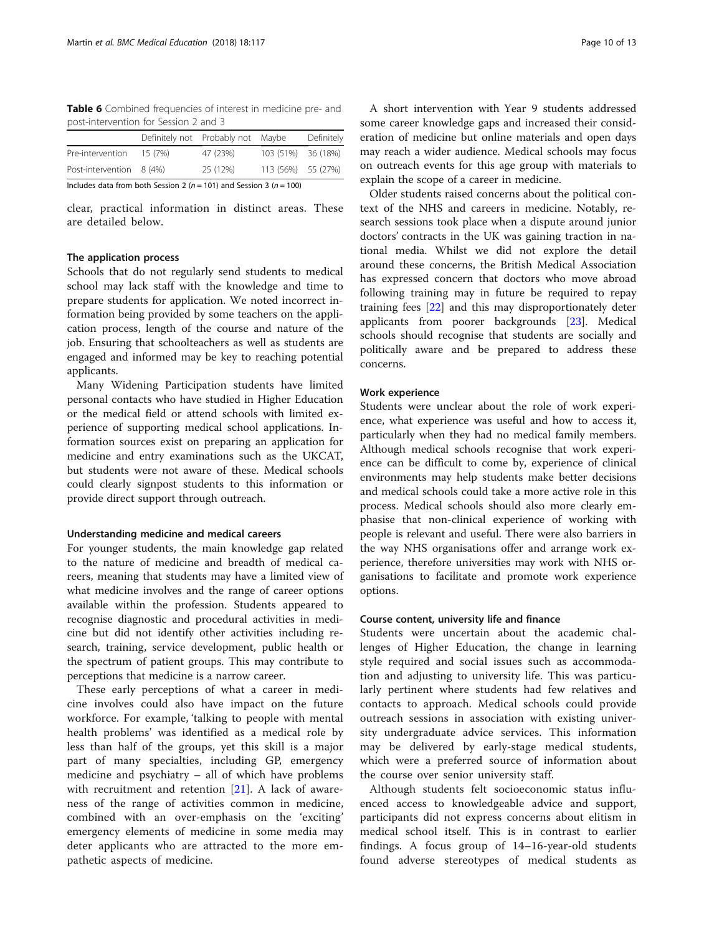<span id="page-9-0"></span>Table 6 Combined frequencies of interest in medicine pre- and post-intervention for Session 2 and 3

| $\mathbf{1}$ . $\mathbf{1}$ . $\mathbf{1}$ . $\mathbf{1}$ . $\mathbf{1}$ . $\mathbf{1}$ . $\mathbf{1}$ . $\mathbf{1}$ . $\mathbf{1}$ . $\mathbf{1}$ . $\mathbf{1}$ . $\mathbf{1}$ . $\mathbf{1}$ . $\mathbf{1}$ . $\mathbf{1}$ . $\mathbf{1}$ . $\mathbf{1}$ . $\mathbf{1}$ . $\mathbf{1}$ . $\mathbf{1}$ . $\mathbf{1}$ . $\mathbf{1}$ . |        |                                   |                    |            |
|-------------------------------------------------------------------------------------------------------------------------------------------------------------------------------------------------------------------------------------------------------------------------------------------------------------------------------------------|--------|-----------------------------------|--------------------|------------|
| Post-intervention 8 (4%)                                                                                                                                                                                                                                                                                                                  |        | 25 (12%)                          | 113 (56%) 55 (27%) |            |
| Pre-intervention                                                                                                                                                                                                                                                                                                                          | 15(7%) | 47 (23%)                          | 103 (51%) 36 (18%) |            |
|                                                                                                                                                                                                                                                                                                                                           |        | Definitely not Probably not Maybe |                    | Definitely |
|                                                                                                                                                                                                                                                                                                                                           |        |                                   |                    |            |

Includes data from both Session 2 ( $n = 101$ ) and Session 3 ( $n = 100$ )

clear, practical information in distinct areas. These are detailed below.

#### The application process

Schools that do not regularly send students to medical school may lack staff with the knowledge and time to prepare students for application. We noted incorrect information being provided by some teachers on the application process, length of the course and nature of the job. Ensuring that schoolteachers as well as students are engaged and informed may be key to reaching potential applicants.

Many Widening Participation students have limited personal contacts who have studied in Higher Education or the medical field or attend schools with limited experience of supporting medical school applications. Information sources exist on preparing an application for medicine and entry examinations such as the UKCAT, but students were not aware of these. Medical schools could clearly signpost students to this information or provide direct support through outreach.

#### Understanding medicine and medical careers

For younger students, the main knowledge gap related to the nature of medicine and breadth of medical careers, meaning that students may have a limited view of what medicine involves and the range of career options available within the profession. Students appeared to recognise diagnostic and procedural activities in medicine but did not identify other activities including research, training, service development, public health or the spectrum of patient groups. This may contribute to perceptions that medicine is a narrow career.

These early perceptions of what a career in medicine involves could also have impact on the future workforce. For example, 'talking to people with mental health problems' was identified as a medical role by less than half of the groups, yet this skill is a major part of many specialties, including GP, emergency medicine and psychiatry – all of which have problems with recruitment and retention [\[21](#page-12-0)]. A lack of awareness of the range of activities common in medicine, combined with an over-emphasis on the 'exciting' emergency elements of medicine in some media may deter applicants who are attracted to the more empathetic aspects of medicine.

A short intervention with Year 9 students addressed some career knowledge gaps and increased their consideration of medicine but online materials and open days may reach a wider audience. Medical schools may focus on outreach events for this age group with materials to explain the scope of a career in medicine.

Older students raised concerns about the political context of the NHS and careers in medicine. Notably, research sessions took place when a dispute around junior doctors' contracts in the UK was gaining traction in national media. Whilst we did not explore the detail around these concerns, the British Medical Association has expressed concern that doctors who move abroad following training may in future be required to repay training fees [\[22](#page-12-0)] and this may disproportionately deter applicants from poorer backgrounds [\[23](#page-12-0)]. Medical schools should recognise that students are socially and politically aware and be prepared to address these concerns.

## Work experience

Students were unclear about the role of work experience, what experience was useful and how to access it, particularly when they had no medical family members. Although medical schools recognise that work experience can be difficult to come by, experience of clinical environments may help students make better decisions and medical schools could take a more active role in this process. Medical schools should also more clearly emphasise that non-clinical experience of working with people is relevant and useful. There were also barriers in the way NHS organisations offer and arrange work experience, therefore universities may work with NHS organisations to facilitate and promote work experience options.

#### Course content, university life and finance

Students were uncertain about the academic challenges of Higher Education, the change in learning style required and social issues such as accommodation and adjusting to university life. This was particularly pertinent where students had few relatives and contacts to approach. Medical schools could provide outreach sessions in association with existing university undergraduate advice services. This information may be delivered by early-stage medical students, which were a preferred source of information about the course over senior university staff.

Although students felt socioeconomic status influenced access to knowledgeable advice and support, participants did not express concerns about elitism in medical school itself. This is in contrast to earlier findings. A focus group of 14–16-year-old students found adverse stereotypes of medical students as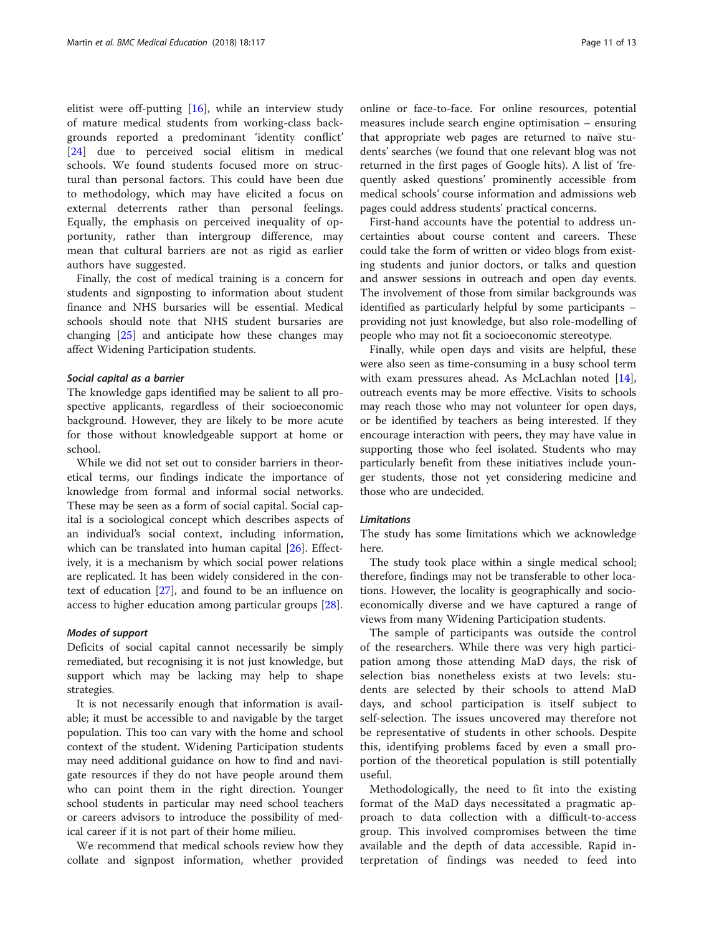elitist were off-putting [\[16](#page-12-0)], while an interview study of mature medical students from working-class backgrounds reported a predominant 'identity conflict' [[24\]](#page-12-0) due to perceived social elitism in medical schools. We found students focused more on structural than personal factors. This could have been due to methodology, which may have elicited a focus on external deterrents rather than personal feelings. Equally, the emphasis on perceived inequality of opportunity, rather than intergroup difference, may mean that cultural barriers are not as rigid as earlier authors have suggested.

Finally, the cost of medical training is a concern for students and signposting to information about student finance and NHS bursaries will be essential. Medical schools should note that NHS student bursaries are changing [\[25](#page-12-0)] and anticipate how these changes may affect Widening Participation students.

#### Social capital as a barrier

The knowledge gaps identified may be salient to all prospective applicants, regardless of their socioeconomic background. However, they are likely to be more acute for those without knowledgeable support at home or school.

While we did not set out to consider barriers in theoretical terms, our findings indicate the importance of knowledge from formal and informal social networks. These may be seen as a form of social capital. Social capital is a sociological concept which describes aspects of an individual's social context, including information, which can be translated into human capital [\[26\]](#page-12-0). Effectively, it is a mechanism by which social power relations are replicated. It has been widely considered in the context of education [[27](#page-12-0)], and found to be an influence on access to higher education among particular groups [[28\]](#page-12-0).

#### Modes of support

Deficits of social capital cannot necessarily be simply remediated, but recognising it is not just knowledge, but support which may be lacking may help to shape strategies.

It is not necessarily enough that information is available; it must be accessible to and navigable by the target population. This too can vary with the home and school context of the student. Widening Participation students may need additional guidance on how to find and navigate resources if they do not have people around them who can point them in the right direction. Younger school students in particular may need school teachers or careers advisors to introduce the possibility of medical career if it is not part of their home milieu.

We recommend that medical schools review how they collate and signpost information, whether provided online or face-to-face. For online resources, potential measures include search engine optimisation – ensuring that appropriate web pages are returned to naïve students' searches (we found that one relevant blog was not returned in the first pages of Google hits). A list of 'frequently asked questions' prominently accessible from medical schools' course information and admissions web pages could address students' practical concerns.

First-hand accounts have the potential to address uncertainties about course content and careers. These could take the form of written or video blogs from existing students and junior doctors, or talks and question and answer sessions in outreach and open day events. The involvement of those from similar backgrounds was identified as particularly helpful by some participants – providing not just knowledge, but also role-modelling of people who may not fit a socioeconomic stereotype.

Finally, while open days and visits are helpful, these were also seen as time-consuming in a busy school term with exam pressures ahead. As McLachlan noted [\[14](#page-12-0)], outreach events may be more effective. Visits to schools may reach those who may not volunteer for open days, or be identified by teachers as being interested. If they encourage interaction with peers, they may have value in supporting those who feel isolated. Students who may particularly benefit from these initiatives include younger students, those not yet considering medicine and those who are undecided.

#### Limitations

The study has some limitations which we acknowledge here.

The study took place within a single medical school; therefore, findings may not be transferable to other locations. However, the locality is geographically and socioeconomically diverse and we have captured a range of views from many Widening Participation students.

The sample of participants was outside the control of the researchers. While there was very high participation among those attending MaD days, the risk of selection bias nonetheless exists at two levels: students are selected by their schools to attend MaD days, and school participation is itself subject to self-selection. The issues uncovered may therefore not be representative of students in other schools. Despite this, identifying problems faced by even a small proportion of the theoretical population is still potentially useful.

Methodologically, the need to fit into the existing format of the MaD days necessitated a pragmatic approach to data collection with a difficult-to-access group. This involved compromises between the time available and the depth of data accessible. Rapid interpretation of findings was needed to feed into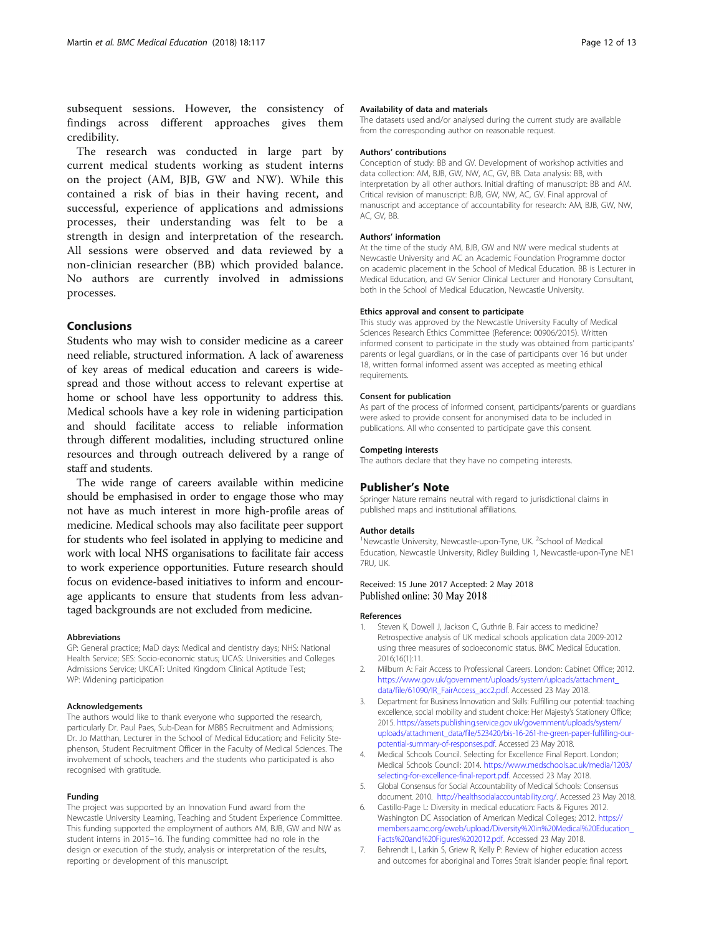<span id="page-11-0"></span>subsequent sessions. However, the consistency of findings across different approaches gives them credibility.

The research was conducted in large part by current medical students working as student interns on the project (AM, BJB, GW and NW). While this contained a risk of bias in their having recent, and successful, experience of applications and admissions processes, their understanding was felt to be a strength in design and interpretation of the research. All sessions were observed and data reviewed by a non-clinician researcher (BB) which provided balance. No authors are currently involved in admissions processes.

### **Conclusions**

Students who may wish to consider medicine as a career need reliable, structured information. A lack of awareness of key areas of medical education and careers is widespread and those without access to relevant expertise at home or school have less opportunity to address this. Medical schools have a key role in widening participation and should facilitate access to reliable information through different modalities, including structured online resources and through outreach delivered by a range of staff and students.

The wide range of careers available within medicine should be emphasised in order to engage those who may not have as much interest in more high-profile areas of medicine. Medical schools may also facilitate peer support for students who feel isolated in applying to medicine and work with local NHS organisations to facilitate fair access to work experience opportunities. Future research should focus on evidence-based initiatives to inform and encourage applicants to ensure that students from less advantaged backgrounds are not excluded from medicine.

#### Abbreviations

GP: General practice; MaD days: Medical and dentistry days; NHS: National Health Service; SES: Socio-economic status; UCAS: Universities and Colleges Admissions Service; UKCAT: United Kingdom Clinical Aptitude Test; WP: Widening participation

#### Acknowledgements

The authors would like to thank everyone who supported the research, particularly Dr. Paul Paes, Sub-Dean for MBBS Recruitment and Admissions; Dr. Jo Matthan, Lecturer in the School of Medical Education; and Felicity Stephenson, Student Recruitment Officer in the Faculty of Medical Sciences. The involvement of schools, teachers and the students who participated is also recognised with gratitude.

#### Funding

The project was supported by an Innovation Fund award from the Newcastle University Learning, Teaching and Student Experience Committee. This funding supported the employment of authors AM, BJB, GW and NW as student interns in 2015–16. The funding committee had no role in the design or execution of the study, analysis or interpretation of the results, reporting or development of this manuscript.

#### Availability of data and materials

The datasets used and/or analysed during the current study are available from the corresponding author on reasonable request.

#### Authors' contributions

Conception of study: BB and GV. Development of workshop activities and data collection: AM, BJB, GW, NW, AC, GV, BB. Data analysis: BB, with interpretation by all other authors. Initial drafting of manuscript: BB and AM. Critical revision of manuscript: BJB, GW, NW, AC, GV. Final approval of manuscript and acceptance of accountability for research: AM, BJB, GW, NW, AC, GV, BB.

#### Authors' information

At the time of the study AM, BJB, GW and NW were medical students at Newcastle University and AC an Academic Foundation Programme doctor on academic placement in the School of Medical Education. BB is Lecturer in Medical Education, and GV Senior Clinical Lecturer and Honorary Consultant, both in the School of Medical Education, Newcastle University.

#### Ethics approval and consent to participate

This study was approved by the Newcastle University Faculty of Medical Sciences Research Ethics Committee (Reference: 00906/2015). Written informed consent to participate in the study was obtained from participants' parents or legal guardians, or in the case of participants over 16 but under 18, written formal informed assent was accepted as meeting ethical requirements.

#### Consent for publication

As part of the process of informed consent, participants/parents or guardians were asked to provide consent for anonymised data to be included in publications. All who consented to participate gave this consent.

#### Competing interests

The authors declare that they have no competing interests.

#### Publisher's Note

Springer Nature remains neutral with regard to jurisdictional claims in published maps and institutional affiliations.

#### Author details

<sup>1</sup>Newcastle University, Newcastle-upon-Tyne, UK. <sup>2</sup>School of Medical Education, Newcastle University, Ridley Building 1, Newcastle-upon-Tyne NE1 7RU, UK.

#### Received: 15 June 2017 Accepted: 2 May 2018 Published online: 30 May 2018

#### References

- 1. Steven K, Dowell J, Jackson C, Guthrie B. Fair access to medicine? Retrospective analysis of UK medical schools application data 2009-2012 using three measures of socioeconomic status. BMC Medical Education. 2016;16(1):11.
- 2. Milburn A: Fair Access to Professional Careers. London: Cabinet Office; 2012. [https://www.gov.uk/government/uploads/system/uploads/attachment\\_](https://www.gov.uk/government/uploads/system/uploads/attachment_data/file/61090/IR_FairAccess_acc2.pdf) [data/file/61090/IR\\_FairAccess\\_acc2.pdf.](https://www.gov.uk/government/uploads/system/uploads/attachment_data/file/61090/IR_FairAccess_acc2.pdf) Accessed 23 May 2018.
- 3. Department for Business Innovation and Skills: Fulfilling our potential: teaching excellence, social mobility and student choice: Her Majesty's Stationery Office; 2015. [https://assets.publishing.service.gov.uk/government/uploads/system/](https://assets.publishing.service.gov.uk/government/uploads/system/uploads/attachment_data/file/523420/bis-16-261-he-green-paper-fulfilling-our-potential-summary-of-responses.pdf) [uploads/attachment\\_data/file/523420/bis-16-261-he-green-paper-fulfilling-our](https://assets.publishing.service.gov.uk/government/uploads/system/uploads/attachment_data/file/523420/bis-16-261-he-green-paper-fulfilling-our-potential-summary-of-responses.pdf)[potential-summary-of-responses.pdf.](https://assets.publishing.service.gov.uk/government/uploads/system/uploads/attachment_data/file/523420/bis-16-261-he-green-paper-fulfilling-our-potential-summary-of-responses.pdf) Accessed 23 May 2018.
- 4. Medical Schools Council. Selecting for Excellence Final Report. London; Medical Schools Council: 2014. [https://www.medschools.ac.uk/media/1203/](https://www.medschools.ac.uk/media/1203/selecting-for-excellence-final-report.pdf) [selecting-for-excellence-final-report.pdf.](https://www.medschools.ac.uk/media/1203/selecting-for-excellence-final-report.pdf) Accessed 23 May 2018.
- 5. Global Consensus for Social Accountability of Medical Schools: Consensus document. 2010. [http://healthsocialaccountability.org/.](http://healthsocialaccountability.org/) Accessed 23 May 2018.
- 6. Castillo-Page L: Diversity in medical education: Facts & Figures 2012. Washington DC Association of American Medical Colleges; 2012. [https://](https://members.aamc.org/eweb/upload/Diversity%20in%20Medical%20Education_Facts%20and%20Figures%202012.pdf) [members.aamc.org/eweb/upload/Diversity%20in%20Medical%20Education\\_](https://members.aamc.org/eweb/upload/Diversity%20in%20Medical%20Education_Facts%20and%20Figures%202012.pdf) [Facts%20and%20Figures%202012.pdf.](https://members.aamc.org/eweb/upload/Diversity%20in%20Medical%20Education_Facts%20and%20Figures%202012.pdf) Accessed 23 May 2018.
- 7. Behrendt L, Larkin S, Griew R, Kelly P: Review of higher education access and outcomes for aboriginal and Torres Strait islander people: final report.